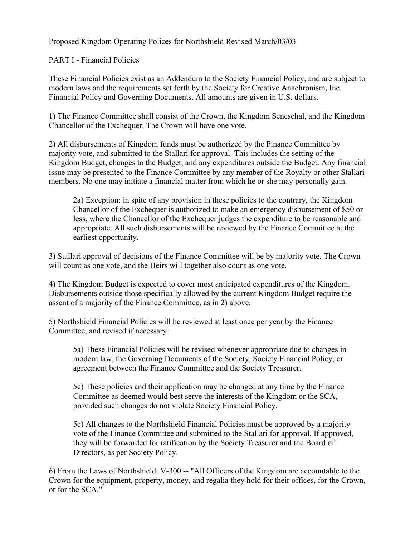Proposed Kingdom Operating Polices for Northshield Revised March/03/03

PART I - Financial Policies

These Financial Policies exist as an Addendum to the Society Financial Policy, and are subject to modern laws and the requirements set forth by the Society for Creative Anachronism, Inc. Financial Policy and Governing Documents. All amounts are given in U.S. dollars.

1) The Finance Committee shall consist of the Crown, the Kingdom Seneschal, and the Kingdom Chancellor of the Exchequer. The Crown will have one vote.

2) All disbursements of Kingdom funds must be authorized by the Finance Committee by majority vote, and submitted to the Stallari for approval. This includes the setting of the Kingdom Budget, changes to the Budget, and any expenditures outside the Budget. Any financial issue may be presented to the Finance Committee by any member of the Royalty or other Stallari members. No one may initiate a financial matter from which he or she may personally gain.

2a) Exception: in spite of any provision in these policies to the contrary, the Kingdom Chancellor of the Exchequer is authorized to make an emergency disbursement of \$50 or less, where the Chancellor of the Exchequer judges the expenditure to be reasonable and appropriate. All such disbursements will be reviewed by the Finance Committee at the earliest opportunity.

3) Stallari approval of decisions of the Finance Committee will be by majority vote. The Crown will count as one vote, and the Heirs will together also count as one vote.

4) The Kingdom Budget is expected to cover most anticipated expenditures of the Kingdom. Disbursements outside those specifically allowed by the current Kingdom Budget require the assent of a majority of the Finance Committee, as in 2) above.

5) Northshield Financial Policies will be reviewed at least once per year by the Finance Committee, and revised if necessary.

5a) These Financial Policies will be revised whenever appropriate due to changes in modern law, the Governing Documents of the Society, Society Financial Policy, or agreement between the Finance Committee and the Society Treasurer.

5c) These policies and their application may be changed at any time by the Finance Committee as deemed would best serve the interests of the Kingdom or the SCA, provided such changes do not violate Society Financial Policy.

5c) All changes to the Northshield Financial Policies must be approved by a majority vote of the Finance Committee and submitted to the Stallari for approval. If approved, they will be forwarded for ratification by the Society Treasurer and the Board of Directors, as per Society Policy.

6) From the Laws of Northshield: V-300 -- "All Officers of the Kingdom are accountable to the Crown for the equipment, property, money, and regalia they hold for their offices, for the Crown, or for the SCA."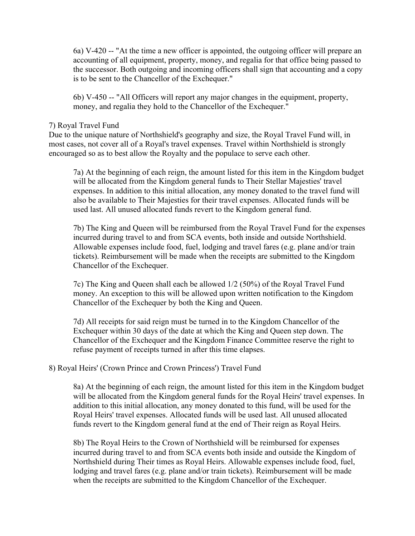6a) V-420 -- "At the time a new officer is appointed, the outgoing officer will prepare an accounting of all equipment, property, money, and regalia for that office being passed to the successor. Both outgoing and incoming officers shall sign that accounting and a copy is to be sent to the Chancellor of the Exchequer."

6b) V-450 -- "All Officers will report any major changes in the equipment, property, money, and regalia they hold to the Chancellor of the Exchequer."

#### 7) Royal Travel Fund

Due to the unique nature of Northshield's geography and size, the Royal Travel Fund will, in most cases, not cover all of a Royal's travel expenses. Travel within Northshield is strongly encouraged so as to best allow the Royalty and the populace to serve each other.

7a) At the beginning of each reign, the amount listed for this item in the Kingdom budget will be allocated from the Kingdom general funds to Their Stellar Majesties' travel expenses. In addition to this initial allocation, any money donated to the travel fund will also be available to Their Majesties for their travel expenses. Allocated funds will be used last. All unused allocated funds revert to the Kingdom general fund.

7b) The King and Queen will be reimbursed from the Royal Travel Fund for the expenses incurred during travel to and from SCA events, both inside and outside Northshield. Allowable expenses include food, fuel, lodging and travel fares (e.g. plane and/or train tickets). Reimbursement will be made when the receipts are submitted to the Kingdom Chancellor of the Exchequer.

7c) The King and Queen shall each be allowed 1/2 (50%) of the Royal Travel Fund money. An exception to this will be allowed upon written notification to the Kingdom Chancellor of the Exchequer by both the King and Queen.

7d) All receipts for said reign must be turned in to the Kingdom Chancellor of the Exchequer within 30 days of the date at which the King and Queen step down. The Chancellor of the Exchequer and the Kingdom Finance Committee reserve the right to refuse payment of receipts turned in after this time elapses.

### 8) Royal Heirs' (Crown Prince and Crown Princess') Travel Fund

8a) At the beginning of each reign, the amount listed for this item in the Kingdom budget will be allocated from the Kingdom general funds for the Royal Heirs' travel expenses. In addition to this initial allocation, any money donated to this fund, will be used for the Royal Heirs' travel expenses. Allocated funds will be used last. All unused allocated funds revert to the Kingdom general fund at the end of Their reign as Royal Heirs.

8b) The Royal Heirs to the Crown of Northshield will be reimbursed for expenses incurred during travel to and from SCA events both inside and outside the Kingdom of Northshield during Their times as Royal Heirs. Allowable expenses include food, fuel, lodging and travel fares (e.g. plane and/or train tickets). Reimbursement will be made when the receipts are submitted to the Kingdom Chancellor of the Exchequer.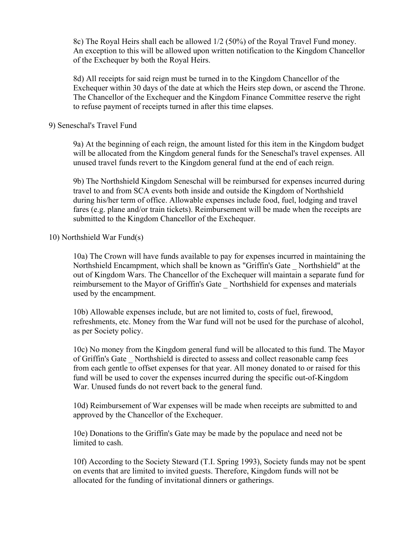8c) The Royal Heirs shall each be allowed 1/2 (50%) of the Royal Travel Fund money. An exception to this will be allowed upon written notification to the Kingdom Chancellor of the Exchequer by both the Royal Heirs.

8d) All receipts for said reign must be turned in to the Kingdom Chancellor of the Exchequer within 30 days of the date at which the Heirs step down, or ascend the Throne. The Chancellor of the Exchequer and the Kingdom Finance Committee reserve the right to refuse payment of receipts turned in after this time elapses.

#### 9) Seneschal's Travel Fund

9a) At the beginning of each reign, the amount listed for this item in the Kingdom budget will be allocated from the Kingdom general funds for the Seneschal's travel expenses. All unused travel funds revert to the Kingdom general fund at the end of each reign.

9b) The Northshield Kingdom Seneschal will be reimbursed for expenses incurred during travel to and from SCA events both inside and outside the Kingdom of Northshield during his/her term of office. Allowable expenses include food, fuel, lodging and travel fares (e.g. plane and/or train tickets). Reimbursement will be made when the receipts are submitted to the Kingdom Chancellor of the Exchequer.

#### 10) Northshield War Fund(s)

10a) The Crown will have funds available to pay for expenses incurred in maintaining the Northshield Encampment, which shall be known as "Griffin's Gate \_ Northshield" at the out of Kingdom Wars. The Chancellor of the Exchequer will maintain a separate fund for reimbursement to the Mayor of Griffin's Gate \_ Northshield for expenses and materials used by the encampment.

10b) Allowable expenses include, but are not limited to, costs of fuel, firewood, refreshments, etc. Money from the War fund will not be used for the purchase of alcohol, as per Society policy.

10c) No money from the Kingdom general fund will be allocated to this fund. The Mayor of Griffin's Gate \_ Northshield is directed to assess and collect reasonable camp fees from each gentle to offset expenses for that year. All money donated to or raised for this fund will be used to cover the expenses incurred during the specific out-of-Kingdom War. Unused funds do not revert back to the general fund.

10d) Reimbursement of War expenses will be made when receipts are submitted to and approved by the Chancellor of the Exchequer.

10e) Donations to the Griffin's Gate may be made by the populace and need not be limited to cash.

10f) According to the Society Steward (T.I. Spring 1993), Society funds may not be spent on events that are limited to invited guests. Therefore, Kingdom funds will not be allocated for the funding of invitational dinners or gatherings.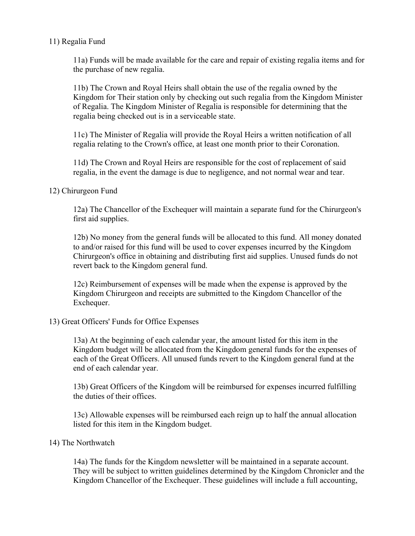### 11) Regalia Fund

11a) Funds will be made available for the care and repair of existing regalia items and for the purchase of new regalia.

11b) The Crown and Royal Heirs shall obtain the use of the regalia owned by the Kingdom for Their station only by checking out such regalia from the Kingdom Minister of Regalia. The Kingdom Minister of Regalia is responsible for determining that the regalia being checked out is in a serviceable state.

11c) The Minister of Regalia will provide the Royal Heirs a written notification of all regalia relating to the Crown's office, at least one month prior to their Coronation.

11d) The Crown and Royal Heirs are responsible for the cost of replacement of said regalia, in the event the damage is due to negligence, and not normal wear and tear.

### 12) Chirurgeon Fund

12a) The Chancellor of the Exchequer will maintain a separate fund for the Chirurgeon's first aid supplies.

12b) No money from the general funds will be allocated to this fund. All money donated to and/or raised for this fund will be used to cover expenses incurred by the Kingdom Chirurgeon's office in obtaining and distributing first aid supplies. Unused funds do not revert back to the Kingdom general fund.

12c) Reimbursement of expenses will be made when the expense is approved by the Kingdom Chirurgeon and receipts are submitted to the Kingdom Chancellor of the Exchequer.

### 13) Great Officers' Funds for Office Expenses

13a) At the beginning of each calendar year, the amount listed for this item in the Kingdom budget will be allocated from the Kingdom general funds for the expenses of each of the Great Officers. All unused funds revert to the Kingdom general fund at the end of each calendar year.

13b) Great Officers of the Kingdom will be reimbursed for expenses incurred fulfilling the duties of their offices.

13c) Allowable expenses will be reimbursed each reign up to half the annual allocation listed for this item in the Kingdom budget.

#### 14) The Northwatch

14a) The funds for the Kingdom newsletter will be maintained in a separate account. They will be subject to written guidelines determined by the Kingdom Chronicler and the Kingdom Chancellor of the Exchequer. These guidelines will include a full accounting,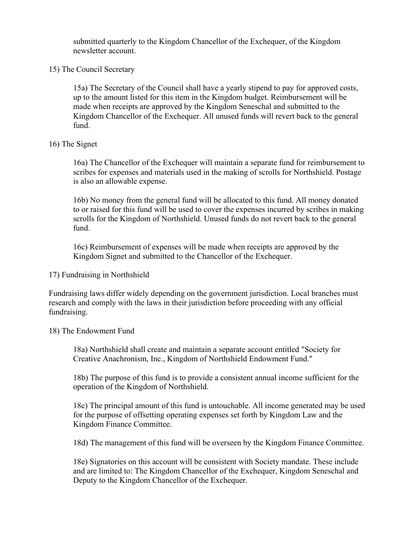submitted quarterly to the Kingdom Chancellor of the Exchequer, of the Kingdom newsletter account.

### 15) The Council Secretary

15a) The Secretary of the Council shall have a yearly stipend to pay for approved costs, up to the amount listed for this item in the Kingdom budget. Reimbursement will be made when receipts are approved by the Kingdom Seneschal and submitted to the Kingdom Chancellor of the Exchequer. All unused funds will revert back to the general fund.

### 16) The Signet

16a) The Chancellor of the Exchequer will maintain a separate fund for reimbursement to scribes for expenses and materials used in the making of scrolls for Northshield. Postage is also an allowable expense.

16b) No money from the general fund will be allocated to this fund. All money donated to or raised for this fund will be used to cover the expenses incurred by scribes in making scrolls for the Kingdom of Northshield. Unused funds do not revert back to the general fund.

16c) Reimbursement of expenses will be made when receipts are approved by the Kingdom Signet and submitted to the Chancellor of the Exchequer.

### 17) Fundraising in Northshield

Fundraising laws differ widely depending on the government jurisdiction. Local branches must research and comply with the laws in their jurisdiction before proceeding with any official fundraising.

#### 18) The Endowment Fund

18a) Northshield shall create and maintain a separate account entitled "Society for Creative Anachronism, Inc., Kingdom of Northshield Endowment Fund."

18b) The purpose of this fund is to provide a consistent annual income sufficient for the operation of the Kingdom of Northshield.

18c) The principal amount of this fund is untouchable. All income generated may be used for the purpose of offsetting operating expenses set forth by Kingdom Law and the Kingdom Finance Committee.

18d) The management of this fund will be overseen by the Kingdom Finance Committee.

18e) Signatories on this account will be consistent with Society mandate. These include and are limited to: The Kingdom Chancellor of the Exchequer, Kingdom Seneschal and Deputy to the Kingdom Chancellor of the Exchequer.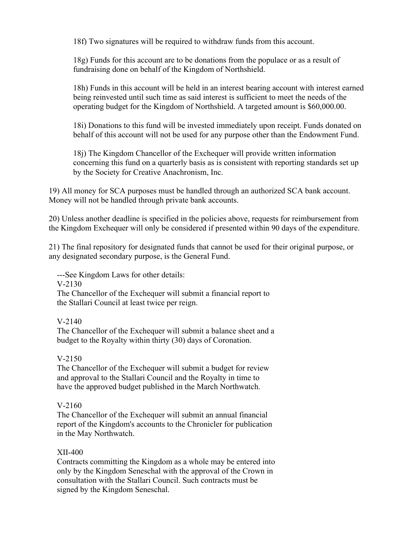18f) Two signatures will be required to withdraw funds from this account.

18g) Funds for this account are to be donations from the populace or as a result of fundraising done on behalf of the Kingdom of Northshield.

18h) Funds in this account will be held in an interest bearing account with interest earned being reinvested until such time as said interest is sufficient to meet the needs of the operating budget for the Kingdom of Northshield. A targeted amount is \$60,000.00.

18i) Donations to this fund will be invested immediately upon receipt. Funds donated on behalf of this account will not be used for any purpose other than the Endowment Fund.

18j) The Kingdom Chancellor of the Exchequer will provide written information concerning this fund on a quarterly basis as is consistent with reporting standards set up by the Society for Creative Anachronism, Inc.

19) All money for SCA purposes must be handled through an authorized SCA bank account. Money will not be handled through private bank accounts.

20) Unless another deadline is specified in the policies above, requests for reimbursement from the Kingdom Exchequer will only be considered if presented within 90 days of the expenditure.

21) The final repository for designated funds that cannot be used for their original purpose, or any designated secondary purpose, is the General Fund.

---See Kingdom Laws for other details:

V-2130

 The Chancellor of the Exchequer will submit a financial report to the Stallari Council at least twice per reign.

# V-2140

 The Chancellor of the Exchequer will submit a balance sheet and a budget to the Royalty within thirty (30) days of Coronation.

# V-2150

 The Chancellor of the Exchequer will submit a budget for review and approval to the Stallari Council and the Royalty in time to have the approved budget published in the March Northwatch.

# V-2160

 The Chancellor of the Exchequer will submit an annual financial report of the Kingdom's accounts to the Chronicler for publication in the May Northwatch.

# XII-400

 Contracts committing the Kingdom as a whole may be entered into only by the Kingdom Seneschal with the approval of the Crown in consultation with the Stallari Council. Such contracts must be signed by the Kingdom Seneschal.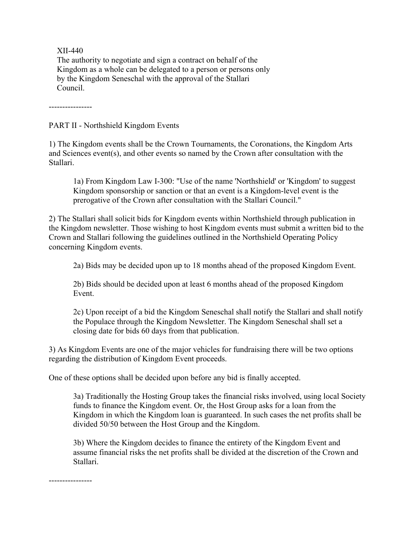XII-440

 The authority to negotiate and sign a contract on behalf of the Kingdom as a whole can be delegated to a person or persons only by the Kingdom Seneschal with the approval of the Stallari Council.

----------------

PART II - Northshield Kingdom Events

1) The Kingdom events shall be the Crown Tournaments, the Coronations, the Kingdom Arts and Sciences event(s), and other events so named by the Crown after consultation with the Stallari.

1a) From Kingdom Law I-300: "Use of the name 'Northshield' or 'Kingdom' to suggest Kingdom sponsorship or sanction or that an event is a Kingdom-level event is the prerogative of the Crown after consultation with the Stallari Council."

2) The Stallari shall solicit bids for Kingdom events within Northshield through publication in the Kingdom newsletter. Those wishing to host Kingdom events must submit a written bid to the Crown and Stallari following the guidelines outlined in the Northshield Operating Policy concerning Kingdom events.

2a) Bids may be decided upon up to 18 months ahead of the proposed Kingdom Event.

2b) Bids should be decided upon at least 6 months ahead of the proposed Kingdom Event.

2c) Upon receipt of a bid the Kingdom Seneschal shall notify the Stallari and shall notify the Populace through the Kingdom Newsletter. The Kingdom Seneschal shall set a closing date for bids 60 days from that publication.

3) As Kingdom Events are one of the major vehicles for fundraising there will be two options regarding the distribution of Kingdom Event proceeds.

One of these options shall be decided upon before any bid is finally accepted.

3a) Traditionally the Hosting Group takes the financial risks involved, using local Society funds to finance the Kingdom event. Or, the Host Group asks for a loan from the Kingdom in which the Kingdom loan is guaranteed. In such cases the net profits shall be divided 50/50 between the Host Group and the Kingdom.

3b) Where the Kingdom decides to finance the entirety of the Kingdom Event and assume financial risks the net profits shall be divided at the discretion of the Crown and Stallari.

----------------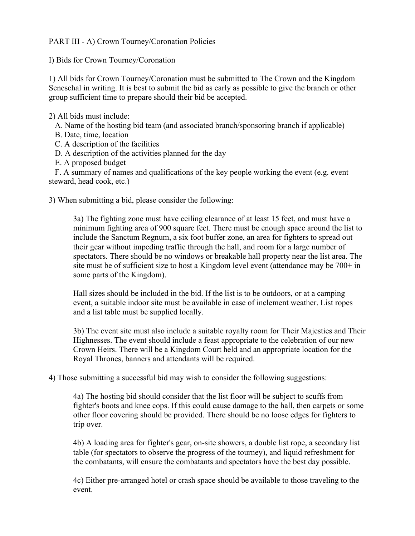PART III - A) Crown Tourney/Coronation Policies

I) Bids for Crown Tourney/Coronation

1) All bids for Crown Tourney/Coronation must be submitted to The Crown and the Kingdom Seneschal in writing. It is best to submit the bid as early as possible to give the branch or other group sufficient time to prepare should their bid be accepted.

2) All bids must include:

A. Name of the hosting bid team (and associated branch/sponsoring branch if applicable)

B. Date, time, location

C. A description of the facilities

D. A description of the activities planned for the day

E. A proposed budget

 F. A summary of names and qualifications of the key people working the event (e.g. event steward, head cook, etc.)

3) When submitting a bid, please consider the following:

3a) The fighting zone must have ceiling clearance of at least 15 feet, and must have a minimum fighting area of 900 square feet. There must be enough space around the list to include the Sanctum Regnum, a six foot buffer zone, an area for fighters to spread out their gear without impeding traffic through the hall, and room for a large number of spectators. There should be no windows or breakable hall property near the list area. The site must be of sufficient size to host a Kingdom level event (attendance may be 700+ in some parts of the Kingdom).

Hall sizes should be included in the bid. If the list is to be outdoors, or at a camping event, a suitable indoor site must be available in case of inclement weather. List ropes and a list table must be supplied locally.

3b) The event site must also include a suitable royalty room for Their Majesties and Their Highnesses. The event should include a feast appropriate to the celebration of our new Crown Heirs. There will be a Kingdom Court held and an appropriate location for the Royal Thrones, banners and attendants will be required.

4) Those submitting a successful bid may wish to consider the following suggestions:

4a) The hosting bid should consider that the list floor will be subject to scuffs from fighter's boots and knee cops. If this could cause damage to the hall, then carpets or some other floor covering should be provided. There should be no loose edges for fighters to trip over.

4b) A loading area for fighter's gear, on-site showers, a double list rope, a secondary list table (for spectators to observe the progress of the tourney), and liquid refreshment for the combatants, will ensure the combatants and spectators have the best day possible.

4c) Either pre-arranged hotel or crash space should be available to those traveling to the event.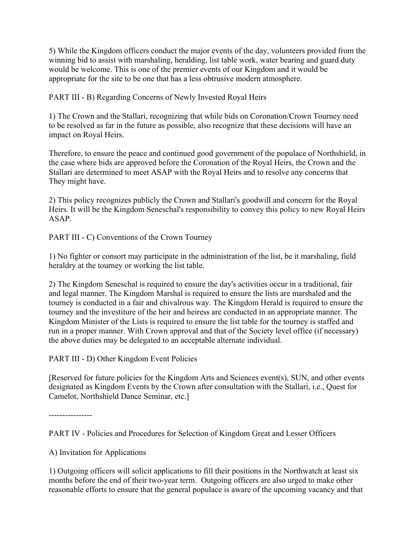5) While the Kingdom officers conduct the major events of the day, volunteers provided from the winning bid to assist with marshaling, heralding, list table work, water bearing and guard duty would be welcome. This is one of the premier events of our Kingdom and it would be appropriate for the site to be one that has a less obtrusive modern atmosphere.

PART III - B) Regarding Concerns of Newly Invested Royal Heirs

1) The Crown and the Stallari, recognizing that while bids on Coronation/Crown Tourney need to be resolved as far in the future as possible, also recognize that these decisions will have an impact on Royal Heirs.

Therefore, to ensure the peace and continued good government of the populace of Northshield, in the case where bids are approved before the Coronation of the Royal Heirs, the Crown and the Stallari are determined to meet ASAP with the Royal Heirs and to resolve any concerns that They might have.

2) This policy recognizes publicly the Crown and Stallari's goodwill and concern for the Royal Heirs. It will be the Kingdom Seneschal's responsibility to convey this policy to new Royal Heirs ASAP.

PART III - C) Conventions of the Crown Tourney

1) No fighter or consort may participate in the administration of the list, be it marshaling, field heraldry at the tourney or working the list table.

2) The Kingdom Seneschal is required to ensure the day's activities occur in a traditional, fair and legal manner. The Kingdom Marshal is required to ensure the lists are marshaled and the tourney is conducted in a fair and chivalrous way. The Kingdom Herald is required to ensure the tourney and the investiture of the heir and heiress are conducted in an appropriate manner. The Kingdom Minister of the Lists is required to ensure the list table for the tourney is staffed and run in a proper manner. With Crown approval and that of the Society level office (if necessary) the above duties may be delegated to an acceptable alternate individual.

PART III - D) Other Kingdom Event Policies

[Reserved for future policies for the Kingdom Arts and Sciences event(s), SUN, and other events designated as Kingdom Events by the Crown after consultation with the Stallari, i.e., Quest for Camelot, Northshield Dance Seminar, etc.]

----------------

PART IV - Policies and Procedures for Selection of Kingdom Great and Lesser Officers

A) Invitation for Applications

1) Outgoing officers will solicit applications to fill their positions in the Northwatch at least six months before the end of their two-year term. Outgoing officers are also urged to make other reasonable efforts to ensure that the general populace is aware of the upcoming vacancy and that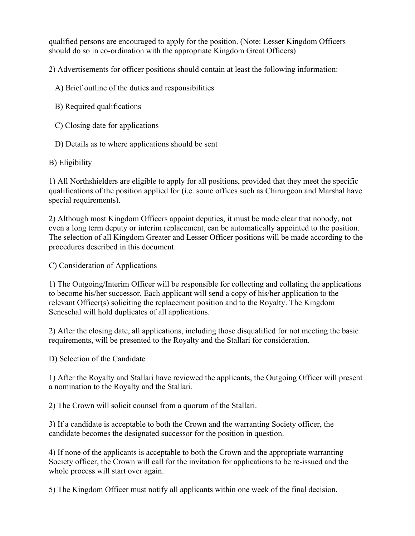qualified persons are encouraged to apply for the position. (Note: Lesser Kingdom Officers should do so in co-ordination with the appropriate Kingdom Great Officers)

2) Advertisements for officer positions should contain at least the following information:

A) Brief outline of the duties and responsibilities

- B) Required qualifications
- C) Closing date for applications
- D) Details as to where applications should be sent

# B) Eligibility

1) All Northshielders are eligible to apply for all positions, provided that they meet the specific qualifications of the position applied for (i.e. some offices such as Chirurgeon and Marshal have special requirements).

2) Although most Kingdom Officers appoint deputies, it must be made clear that nobody, not even a long term deputy or interim replacement, can be automatically appointed to the position. The selection of all Kingdom Greater and Lesser Officer positions will be made according to the procedures described in this document.

C) Consideration of Applications

1) The Outgoing/Interim Officer will be responsible for collecting and collating the applications to become his/her successor. Each applicant will send a copy of his/her application to the relevant Officer(s) soliciting the replacement position and to the Royalty. The Kingdom Seneschal will hold duplicates of all applications.

2) After the closing date, all applications, including those disqualified for not meeting the basic requirements, will be presented to the Royalty and the Stallari for consideration.

D) Selection of the Candidate

1) After the Royalty and Stallari have reviewed the applicants, the Outgoing Officer will present a nomination to the Royalty and the Stallari.

2) The Crown will solicit counsel from a quorum of the Stallari.

3) If a candidate is acceptable to both the Crown and the warranting Society officer, the candidate becomes the designated successor for the position in question.

4) If none of the applicants is acceptable to both the Crown and the appropriate warranting Society officer, the Crown will call for the invitation for applications to be re-issued and the whole process will start over again.

5) The Kingdom Officer must notify all applicants within one week of the final decision.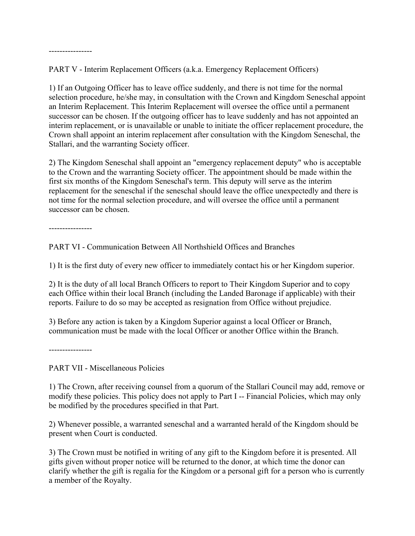----------------

PART V - Interim Replacement Officers (a.k.a. Emergency Replacement Officers)

1) If an Outgoing Officer has to leave office suddenly, and there is not time for the normal selection procedure, he/she may, in consultation with the Crown and Kingdom Seneschal appoint an Interim Replacement. This Interim Replacement will oversee the office until a permanent successor can be chosen. If the outgoing officer has to leave suddenly and has not appointed an interim replacement, or is unavailable or unable to initiate the officer replacement procedure, the Crown shall appoint an interim replacement after consultation with the Kingdom Seneschal, the Stallari, and the warranting Society officer.

2) The Kingdom Seneschal shall appoint an "emergency replacement deputy" who is acceptable to the Crown and the warranting Society officer. The appointment should be made within the first six months of the Kingdom Seneschal's term. This deputy will serve as the interim replacement for the seneschal if the seneschal should leave the office unexpectedly and there is not time for the normal selection procedure, and will oversee the office until a permanent successor can be chosen.

----------------

PART VI - Communication Between All Northshield Offices and Branches

1) It is the first duty of every new officer to immediately contact his or her Kingdom superior.

2) It is the duty of all local Branch Officers to report to Their Kingdom Superior and to copy each Office within their local Branch (including the Landed Baronage if applicable) with their reports. Failure to do so may be accepted as resignation from Office without prejudice.

3) Before any action is taken by a Kingdom Superior against a local Officer or Branch, communication must be made with the local Officer or another Office within the Branch.

----------------

PART VII - Miscellaneous Policies

1) The Crown, after receiving counsel from a quorum of the Stallari Council may add, remove or modify these policies. This policy does not apply to Part I -- Financial Policies, which may only be modified by the procedures specified in that Part.

2) Whenever possible, a warranted seneschal and a warranted herald of the Kingdom should be present when Court is conducted.

3) The Crown must be notified in writing of any gift to the Kingdom before it is presented. All gifts given without proper notice will be returned to the donor, at which time the donor can clarify whether the gift is regalia for the Kingdom or a personal gift for a person who is currently a member of the Royalty.